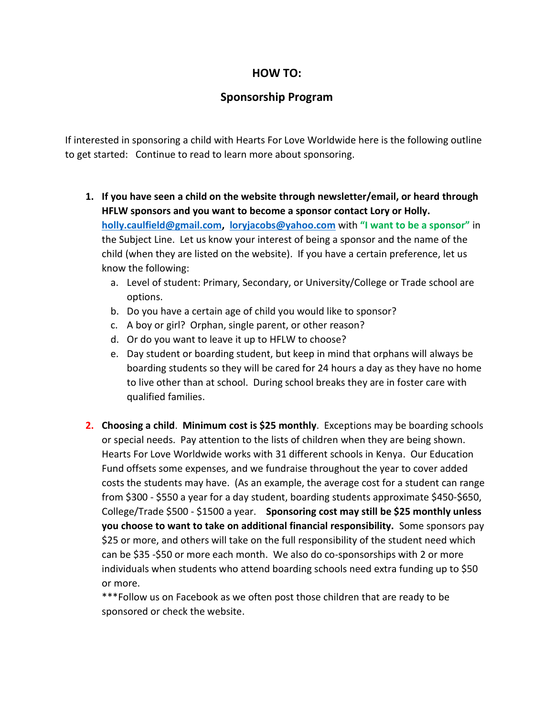## **HOW TO:**

## **Sponsorship Program**

If interested in sponsoring a child with Hearts For Love Worldwide here is the following outline to get started: Continue to read to learn more about sponsoring.

- **1. If you have seen a child on the website through newsletter/email, or heard through HFLW sponsors and you want to become a sponsor contact Lory or Holly. [holly.caulfield@gmail.com,](mailto:holly.caulfield@gmail.com) [loryjacobs@yahoo.com](mailto:loryjacobs@yahoo.com)** with **"I want to be a sponsor"** in the Subject Line. Let us know your interest of being a sponsor and the name of the child (when they are listed on the website). If you have a certain preference, let us know the following:
	- a. Level of student: Primary, Secondary, or University/College or Trade school are options.
	- b. Do you have a certain age of child you would like to sponsor?
	- c. A boy or girl? Orphan, single parent, or other reason?
	- d. Or do you want to leave it up to HFLW to choose?
	- e. Day student or boarding student, but keep in mind that orphans will always be boarding students so they will be cared for 24 hours a day as they have no home to live other than at school. During school breaks they are in foster care with qualified families.
- **2. Choosing a child**. **Minimum cost is \$25 monthly**. Exceptions may be boarding schools or special needs. Pay attention to the lists of children when they are being shown. Hearts For Love Worldwide works with 31 different schools in Kenya. Our Education Fund offsets some expenses, and we fundraise throughout the year to cover added costs the students may have. (As an example, the average cost for a student can range from \$300 - \$550 a year for a day student, boarding students approximate \$450-\$650, College/Trade \$500 - \$1500 a year. **Sponsoring cost may still be \$25 monthly unless you choose to want to take on additional financial responsibility.** Some sponsors pay \$25 or more, and others will take on the full responsibility of the student need which can be \$35 -\$50 or more each month. We also do co-sponsorships with 2 or more individuals when students who attend boarding schools need extra funding up to \$50 or more.

\*\*\*Follow us on Facebook as we often post those children that are ready to be sponsored or check the website.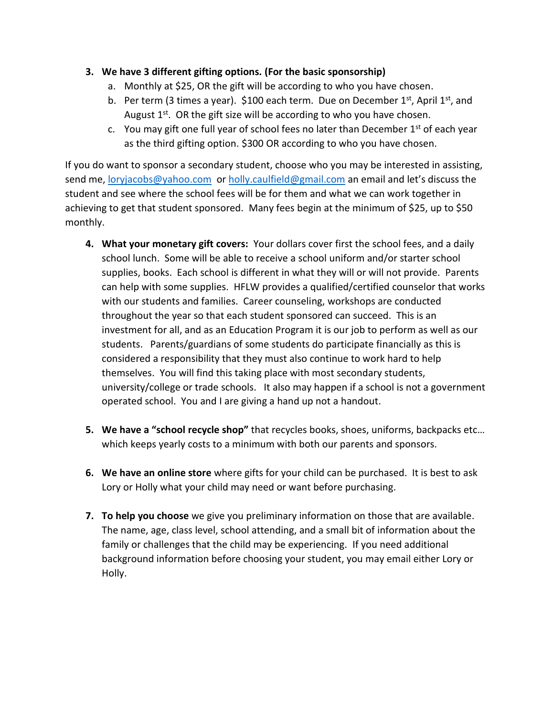## **3. We have 3 different gifting options. (For the basic sponsorship)**

- a. Monthly at \$25, OR the gift will be according to who you have chosen.
- b. Per term (3 times a year). \$100 each term. Due on December  $1^{st}$ , April  $1^{st}$ , and August 1<sup>st</sup>. OR the gift size will be according to who you have chosen.
- c. You may gift one full year of school fees no later than December  $1<sup>st</sup>$  of each year as the third gifting option. \$300 OR according to who you have chosen.

If you do want to sponsor a secondary student, choose who you may be interested in assisting, send me, [loryjacobs@yahoo.com](mailto:loryjacobs@yahoo.com) or [holly.caulfield@gmail.com](mailto:holly.caulfield@gmail.com) an email and let's discuss the student and see where the school fees will be for them and what we can work together in achieving to get that student sponsored. Many fees begin at the minimum of \$25, up to \$50 monthly.

- **4. What your monetary gift covers:** Your dollars cover first the school fees, and a daily school lunch. Some will be able to receive a school uniform and/or starter school supplies, books. Each school is different in what they will or will not provide. Parents can help with some supplies. HFLW provides a qualified/certified counselor that works with our students and families. Career counseling, workshops are conducted throughout the year so that each student sponsored can succeed. This is an investment for all, and as an Education Program it is our job to perform as well as our students. Parents/guardians of some students do participate financially as this is considered a responsibility that they must also continue to work hard to help themselves. You will find this taking place with most secondary students, university/college or trade schools. It also may happen if a school is not a government operated school. You and I are giving a hand up not a handout.
- **5. We have a "school recycle shop"** that recycles books, shoes, uniforms, backpacks etc… which keeps yearly costs to a minimum with both our parents and sponsors.
- **6. We have an online store** where gifts for your child can be purchased. It is best to ask Lory or Holly what your child may need or want before purchasing.
- **7. To help you choose** we give you preliminary information on those that are available. The name, age, class level, school attending, and a small bit of information about the family or challenges that the child may be experiencing. If you need additional background information before choosing your student, you may email either Lory or Holly.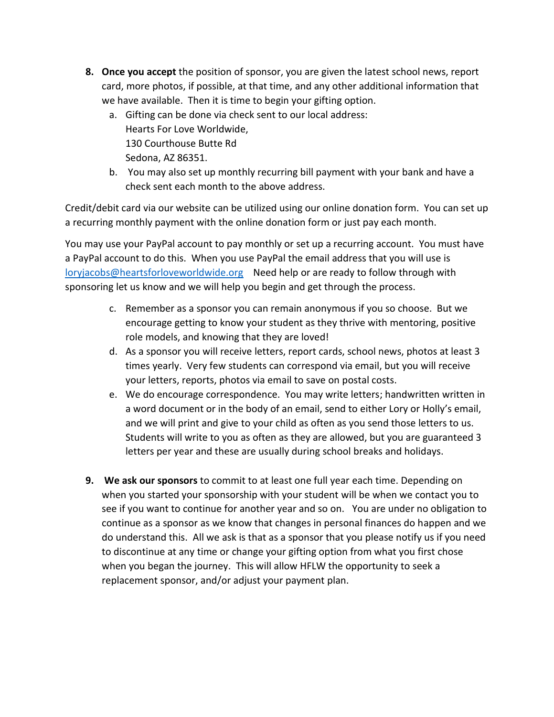- **8. Once you accept** the position of sponsor, you are given the latest school news, report card, more photos, if possible, at that time, and any other additional information that we have available. Then it is time to begin your gifting option.
	- a. Gifting can be done via check sent to our local address: Hearts For Love Worldwide, 130 Courthouse Butte Rd Sedona, AZ 86351.
	- b. You may also set up monthly recurring bill payment with your bank and have a check sent each month to the above address.

Credit/debit card via our website can be utilized using our online donation form. You can set up a recurring monthly payment with the online donation form or just pay each month.

You may use your PayPal account to pay monthly or set up a recurring account. You must have a PayPal account to do this. When you use PayPal the email address that you will use is [loryjacobs@heartsforloveworldwide.org](mailto:loryjacobs@heartsforloveworldwide.org) Need help or are ready to follow through with sponsoring let us know and we will help you begin and get through the process.

- c. Remember as a sponsor you can remain anonymous if you so choose. But we encourage getting to know your student as they thrive with mentoring, positive role models, and knowing that they are loved!
- d. As a sponsor you will receive letters, report cards, school news, photos at least 3 times yearly. Very few students can correspond via email, but you will receive your letters, reports, photos via email to save on postal costs.
- e. We do encourage correspondence. You may write letters; handwritten written in a word document or in the body of an email, send to either Lory or Holly's email, and we will print and give to your child as often as you send those letters to us. Students will write to you as often as they are allowed, but you are guaranteed 3 letters per year and these are usually during school breaks and holidays.
- **9. We ask our sponsors** to commit to at least one full year each time. Depending on when you started your sponsorship with your student will be when we contact you to see if you want to continue for another year and so on. You are under no obligation to continue as a sponsor as we know that changes in personal finances do happen and we do understand this. All we ask is that as a sponsor that you please notify us if you need to discontinue at any time or change your gifting option from what you first chose when you began the journey. This will allow HFLW the opportunity to seek a replacement sponsor, and/or adjust your payment plan.